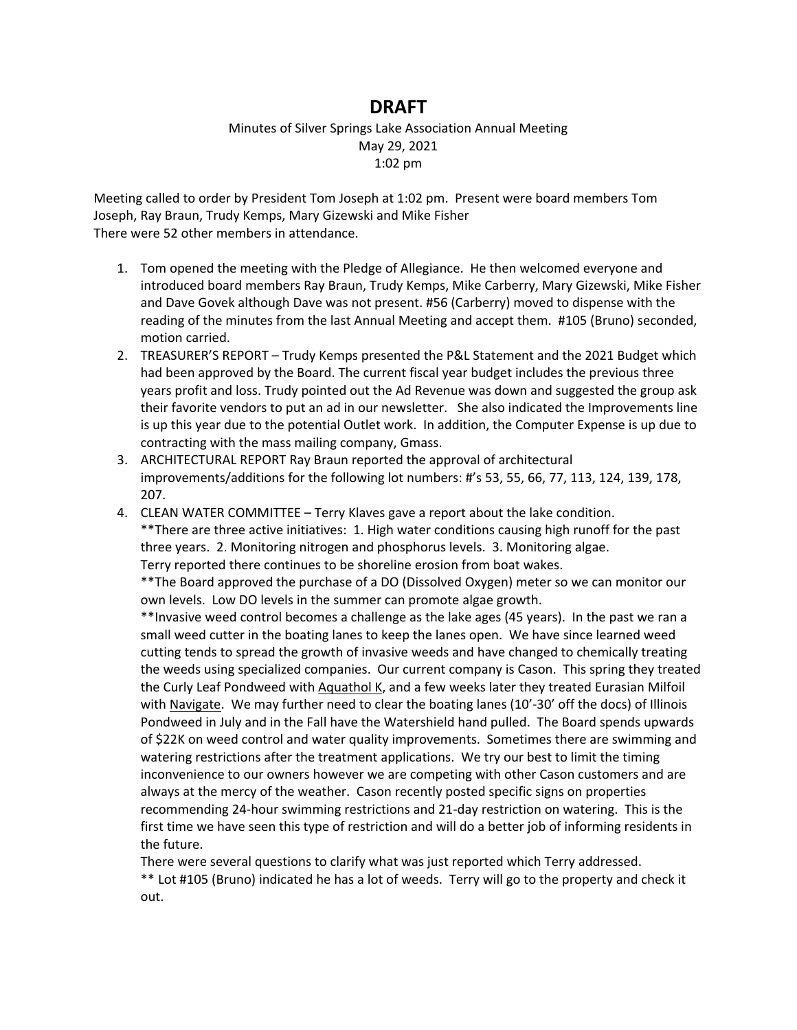## **DRAFT**

## Minutes of Silver Springs Lake Association Annual Meeting May 29, 2021 1:02 pm

Meeting called to order by President Tom Joseph at 1:02 pm. Present were board members Tom Joseph, Ray Braun, Trudy Kemps, Mary Gizewski and Mike Fisher There were 52 other members in attendance.

- 1. Tom opened the meeting with the Pledge of Allegiance. He then welcomed everyone and introduced board members Ray Braun, Trudy Kemps, Mike Carberry, Mary Gizewski, Mike Fisher and Dave Govek although Dave was not present. #56 (Carberry) moved to dispense with the reading of the minutes from the last Annual Meeting and accept them. #105 (Bruno) seconded, motion carried.
- 2. TREASURER'S REPORT Trudy Kemps presented the P&L Statement and the 2021 Budget which had been approved by the Board. The current fiscal year budget includes the previous three years profit and loss. Trudy pointed out the Ad Revenue was down and suggested the group ask their favorite vendors to put an ad in our newsletter. She also indicated the Improvements line is up this year due to the potential Outlet work. In addition, the Computer Expense is up due to contracting with the mass mailing company, Gmass.
- 3. ARCHITECTURAL REPORT Ray Braun reported the approval of architectural improvements/additions for the following lot numbers: #'s 53, 55, 66, 77, 113, 124, 139, 178, 207.
- 4. CLEAN WATER COMMITTEE Terry Klaves gave a report about the lake condition. \*\*There are three active initiatives: 1. High water conditions causing high runoff for the past three years. 2. Monitoring nitrogen and phosphorus levels. 3. Monitoring algae. Terry reported there continues to be shoreline erosion from boat wakes.

\*\*The Board approved the purchase of a DO (Dissolved Oxygen) meter so we can monitor our own levels. Low DO levels in the summer can promote algae growth.

\*\*Invasive weed control becomes a challenge as the lake ages (45 years). In the past we ran a small weed cutter in the boating lanes to keep the lanes open. We have since learned weed cutting tends to spread the growth of invasive weeds and have changed to chemically treating the weeds using specialized companies. Our current company is Cason. This spring they treated the Curly Leaf Pondweed with Aquathol K, and a few weeks later they treated Eurasian Milfoil with Navigate. We may further need to clear the boating lanes (10'-30' off the docs) of Illinois Pondweed in July and in the Fall have the Watershield hand pulled. The Board spends upwards of \$22K on weed control and water quality improvements. Sometimes there are swimming and watering restrictions after the treatment applications. We try our best to limit the timing inconvenience to our owners however we are competing with other Cason customers and are always at the mercy of the weather. Cason recently posted specific signs on properties recommending 24-hour swimming restrictions and 21-day restriction on watering. This is the first time we have seen this type of restriction and will do a better job of informing residents in the future.

There were several questions to clarify what was just reported which Terry addressed. \*\* Lot #105 (Bruno) indicated he has a lot of weeds. Terry will go to the property and check it out.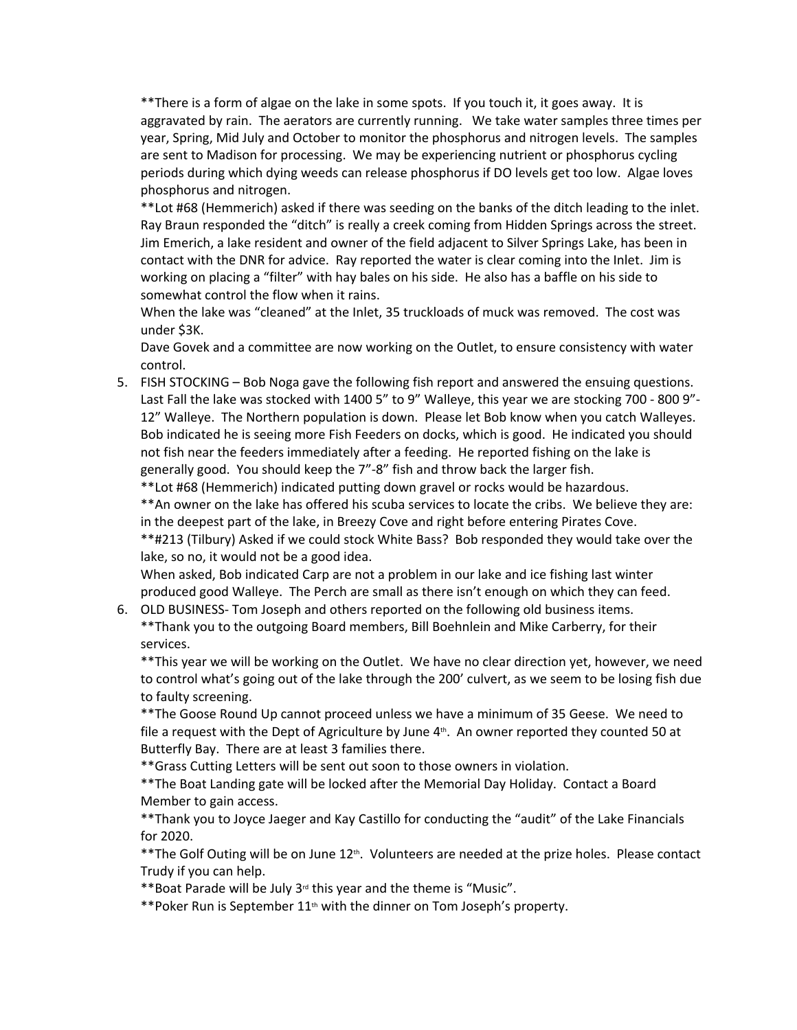\*\*There is a form of algae on the lake in some spots. If you touch it, it goes away. It is aggravated by rain. The aerators are currently running. We take water samples three times per year, Spring, Mid July and October to monitor the phosphorus and nitrogen levels. The samples are sent to Madison for processing. We may be experiencing nutrient or phosphorus cycling periods during which dying weeds can release phosphorus if DO levels get too low. Algae loves phosphorus and nitrogen.

\*\*Lot #68 (Hemmerich) asked if there was seeding on the banks of the ditch leading to the inlet. Ray Braun responded the "ditch" is really a creek coming from Hidden Springs across the street. Jim Emerich, a lake resident and owner of the field adjacent to Silver Springs Lake, has been in contact with the DNR for advice. Ray reported the water is clear coming into the Inlet. Jim is working on placing a "filter" with hay bales on his side. He also has a baffle on his side to somewhat control the flow when it rains.

When the lake was "cleaned" at the Inlet, 35 truckloads of muck was removed. The cost was under \$3K.

Dave Govek and a committee are now working on the Outlet, to ensure consistency with water control.

5. FISH STOCKING – Bob Noga gave the following fish report and answered the ensuing questions. Last Fall the lake was stocked with 1400 5" to 9" Walleye, this year we are stocking 700 - 800 9"- 12" Walleye. The Northern population is down. Please let Bob know when you catch Walleyes. Bob indicated he is seeing more Fish Feeders on docks, which is good. He indicated you should not fish near the feeders immediately after a feeding. He reported fishing on the lake is generally good. You should keep the 7"-8" fish and throw back the larger fish.

\*\*Lot #68 (Hemmerich) indicated putting down gravel or rocks would be hazardous.

\*\*An owner on the lake has offered his scuba services to locate the cribs. We believe they are: in the deepest part of the lake, in Breezy Cove and right before entering Pirates Cove.

\*\*#213 (Tilbury) Asked if we could stock White Bass? Bob responded they would take over the lake, so no, it would not be a good idea.

When asked, Bob indicated Carp are not a problem in our lake and ice fishing last winter produced good Walleye. The Perch are small as there isn't enough on which they can feed.

6. OLD BUSINESS- Tom Joseph and others reported on the following old business items. \*\*Thank you to the outgoing Board members, Bill Boehnlein and Mike Carberry, for their services.

\*\*This year we will be working on the Outlet. We have no clear direction yet, however, we need to control what's going out of the lake through the 200' culvert, as we seem to be losing fish due to faulty screening.

\*\*The Goose Round Up cannot proceed unless we have a minimum of 35 Geese. We need to file a request with the Dept of Agriculture by June  $4<sup>th</sup>$ . An owner reported they counted 50 at Butterfly Bay. There are at least 3 families there.

\*\*Grass Cutting Letters will be sent out soon to those owners in violation.

\*\*The Boat Landing gate will be locked after the Memorial Day Holiday. Contact a Board Member to gain access.

\*\*Thank you to Joyce Jaeger and Kay Castillo for conducting the "audit" of the Lake Financials for 2020.

\*\*The Golf Outing will be on June  $12<sup>th</sup>$ . Volunteers are needed at the prize holes. Please contact Trudy if you can help.

\*\*Boat Parade will be July 3rd this year and the theme is "Music".

\*\*Poker Run is September 11<sup>th</sup> with the dinner on Tom Joseph's property.